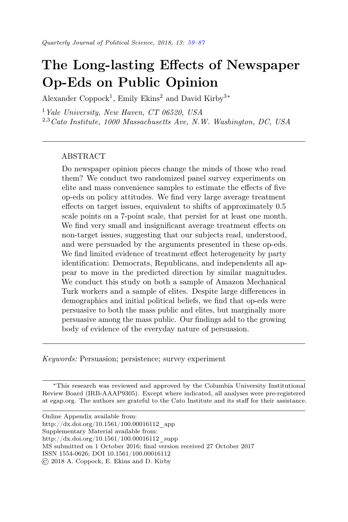# <span id="page-0-0"></span>The Long-lasting Effects of Newspaper Op-Eds on Public Opinion

Alexander Coppock<sup>1</sup>, Emily Ekins<sup>2</sup> and David Kirby<sup>3\*</sup>

 $1$  Yale University, New Haven, CT 06520, USA  $^{2,3}$ Cato Institute, 1000 Massachusetts Ave, N.W. Washington, DC, USA

## ABSTRACT

Do newspaper opinion pieces change the minds of those who read them? We conduct two randomized panel survey experiments on elite and mass convenience samples to estimate the effects of five op-eds on policy attitudes. We find very large average treatment effects on target issues, equivalent to shifts of approximately 0.5 scale points on a 7-point scale, that persist for at least one month. We find very small and insignificant average treatment effects on non-target issues, suggesting that our subjects read, understood, and were persuaded by the arguments presented in these op-eds. We find limited evidence of treatment effect heterogeneity by party identification: Democrats, Republicans, and independents all appear to move in the predicted direction by similar magnitudes. We conduct this study on both a sample of Amazon Mechanical Turk workers and a sample of elites. Despite large differences in demographics and initial political beliefs, we find that op-eds were persuasive to both the mass public and elites, but marginally more persuasive among the mass public. Our findings add to the growing body of evidence of the everyday nature of persuasion.

Keywords: Persuasion; persistence; survey experiment

<sup>∗</sup>This research was reviewed and approved by the Columbia University Institutional Review Board (IRB-AAAP9305). Except where indicated, all analyses were pre-registered at egap.org. The authors are grateful to the Cato Institute and its staff for their assistance.

| Online Appendix available from:                                        |
|------------------------------------------------------------------------|
| http://dx.doi.org/10.1561/100.00016112 app                             |
| Supplementary Material available from:                                 |
| http://dx.doi.org/10.1561/100.00016112 supp                            |
| MS submitted on 1 October 2016; final version received 27 October 2017 |
| ISSN 1554-0626; DOI 10.1561/100.00016112                               |
| (c) 2018 A. Coppock, E. Ekins and D. Kirby                             |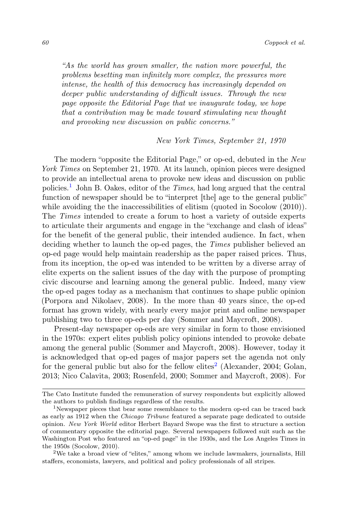"As the world has grown smaller, the nation more powerful, the problems besetting man infinitely more complex, the pressures more intense, the health of this democracy has increasingly depended on deeper public understanding of difficult issues. Through the new page opposite the Editorial Page that we inaugurate today, we hope that a contribution may be made toward stimulating new thought and provoking new discussion on public concerns."

#### New York Times, September 21, 1970

The modern "opposite the Editorial Page," or op-ed, debuted in the New York Times on September 21, 1970. At its launch, opinion pieces were designed to provide an intellectual arena to provoke new ideas and discussion on public policies.[1](#page-1-0) John B. Oakes, editor of the Times, had long argued that the central function of newspaper should be to "interpret [the] age to the general public" while avoiding the the inaccessibilities of elitism (quoted in Socolow  $(2010)$ ). The Times intended to create a forum to host a variety of outside experts to articulate their arguments and engage in the "exchange and clash of ideas" for the benefit of the general public, their intended audience. In fact, when deciding whether to launch the op-ed pages, the *Times* publisher believed an op-ed page would help maintain readership as the paper raised prices. Thus, from its inception, the op-ed was intended to be written by a diverse array of elite experts on the salient issues of the day with the purpose of prompting civic discourse and learning among the general public. Indeed, many view the op-ed pages today as a mechanism that continues to shape public opinion (Porpora and Nikolaev, 2008). In the more than 40 years since, the op-ed format has grown widely, with nearly every major print and online newspaper publishing two to three op-eds per day (Sommer and Maycroft, 2008).

Present-day newspaper op-eds are very similar in form to those envisioned in the 1970s: expert elites publish policy opinions intended to provoke debate among the general public (Sommer and Maycroft, 2008). However, today it is acknowledged that op-ed pages of major papers set the agenda not only for the general public but also for the fellow elites<sup>[2](#page-1-1)</sup> (Alexander, 2004; Golan, 2013; Nico Calavita, 2003; Rosenfeld, 2000; Sommer and Maycroft, 2008). For

The Cato Institute funded the remuneration of survey respondents but explicitly allowed the authors to publish findings regardless of the results.

<span id="page-1-0"></span><sup>&</sup>lt;sup>1</sup>Newspaper pieces that bear some resemblance to the modern op-ed can be traced back as early as 1912 when the Chicago Tribune featured a separate page dedicated to outside opinion. New York World editor Herbert Bayard Swope was the first to structure a section of commentary opposite the editorial page. Several newspapers followed suit such as the Washington Post who featured an "op-ed page" in the 1930s, and the Los Angeles Times in the 1950s (Socolow, 2010).

<span id="page-1-1"></span><sup>2</sup>We take a broad view of "elites," among whom we include lawmakers, journalists, Hill staffers, economists, lawyers, and political and policy professionals of all stripes.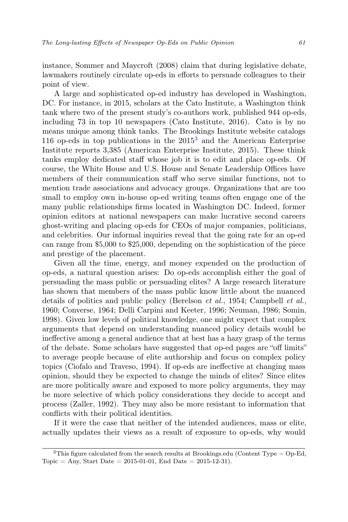instance, Sommer and Maycroft (2008) claim that during legislative debate, lawmakers routinely circulate op-eds in efforts to persuade colleagues to their point of view.

A large and sophisticated op-ed industry has developed in Washington, DC. For instance, in 2015, scholars at the Cato Institute, a Washington think tank where two of the present study's co-authors work, published 944 op-eds, including 73 in top 10 newspapers (Cato Institute, 2016). Cato is by no means unique among think tanks. The Brookings Institute website catalogs 116 op-eds in top publications in the  $2015<sup>3</sup>$  $2015<sup>3</sup>$  $2015<sup>3</sup>$  and the American Enterprise Institute reports 3,385 (American Enterprise Institute, 2015). These think tanks employ dedicated staff whose job it is to edit and place op-eds. Of course, the White House and U.S. House and Senate Leadership Offices have members of their communication staff who serve similar functions, not to mention trade associations and advocacy groups. Organizations that are too small to employ own in-house op-ed writing teams often engage one of the many public relationships firms located in Washington DC. Indeed, former opinion editors at national newspapers can make lucrative second careers ghost-writing and placing op-eds for CEOs of major companies, politicians, and celebrities. Our informal inquiries reveal that the going rate for an op-ed can range from \$5,000 to \$25,000, depending on the sophistication of the piece and prestige of the placement.

Given all the time, energy, and money expended on the production of op-eds, a natural question arises: Do op-eds accomplish either the goal of persuading the mass public or persuading elites? A large research literature has shown that members of the mass public know little about the nuanced details of politics and public policy (Berelson et al., 1954; Campbell et al., 1960; Converse, 1964; Delli Carpini and Keeter, 1996; Neuman, 1986; Somin, 1998). Given low levels of political knowledge, one might expect that complex arguments that depend on understanding nuanced policy details would be ineffective among a general audience that at best has a hazy grasp of the terms of the debate. Some scholars have suggested that op-ed pages are "off limits" to average people because of elite authorship and focus on complex policy topics (Ciofalo and Traveso, 1994). If op-eds are ineffective at changing mass opinion, should they be expected to change the minds of elites? Since elites are more politically aware and exposed to more policy arguments, they may be more selective of which policy considerations they decide to accept and process (Zaller, 1992). They may also be more resistant to information that conflicts with their political identities.

If it were the case that neither of the intended audiences, mass or elite, actually updates their views as a result of exposure to op-eds, why would

<span id="page-2-0"></span><sup>&</sup>lt;sup>3</sup>This figure calculated from the search results at Brookings.edu (Content Type =  $Op$ -Ed, Topic = Any, Start Date =  $2015-01-01$ , End Date =  $2015-12-31$ .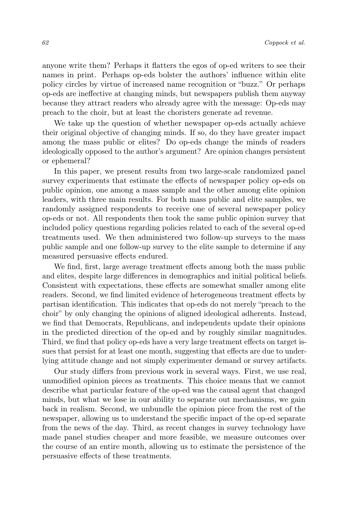anyone write them? Perhaps it flatters the egos of op-ed writers to see their names in print. Perhaps op-eds bolster the authors' influence within elite policy circles by virtue of increased name recognition or "buzz." Or perhaps op-eds are ineffective at changing minds, but newspapers publish them anyway because they attract readers who already agree with the message: Op-eds may preach to the choir, but at least the choristers generate ad revenue.

We take up the question of whether newspaper op-eds actually achieve their original objective of changing minds. If so, do they have greater impact among the mass public or elites? Do op-eds change the minds of readers ideologically opposed to the author's argument? Are opinion changes persistent or ephemeral?

In this paper, we present results from two large-scale randomized panel survey experiments that estimate the effects of newspaper policy op-eds on public opinion, one among a mass sample and the other among elite opinion leaders, with three main results. For both mass public and elite samples, we randomly assigned respondents to receive one of several newspaper policy op-eds or not. All respondents then took the same public opinion survey that included policy questions regarding policies related to each of the several op-ed treatments used. We then administered two follow-up surveys to the mass public sample and one follow-up survey to the elite sample to determine if any measured persuasive effects endured.

We find, first, large average treatment effects among both the mass public and elites, despite large differences in demographics and initial political beliefs. Consistent with expectations, these effects are somewhat smaller among elite readers. Second, we find limited evidence of heterogeneous treatment effects by partisan identification. This indicates that op-eds do not merely "preach to the choir" by only changing the opinions of aligned ideological adherents. Instead, we find that Democrats, Republicans, and independents update their opinions in the predicted direction of the op-ed and by roughly similar magnitudes. Third, we find that policy op-eds have a very large treatment effects on target issues that persist for at least one month, suggesting that effects are due to underlying attitude change and not simply experimenter demand or survey artifacts.

Our study differs from previous work in several ways. First, we use real, unmodified opinion pieces as treatments. This choice means that we cannot describe what particular feature of the op-ed was the causal agent that changed minds, but what we lose in our ability to separate out mechanisms, we gain back in realism. Second, we unbundle the opinion piece from the rest of the newspaper, allowing us to understand the specific impact of the op-ed separate from the news of the day. Third, as recent changes in survey technology have made panel studies cheaper and more feasible, we measure outcomes over the course of an entire month, allowing us to estimate the persistence of the persuasive effects of these treatments.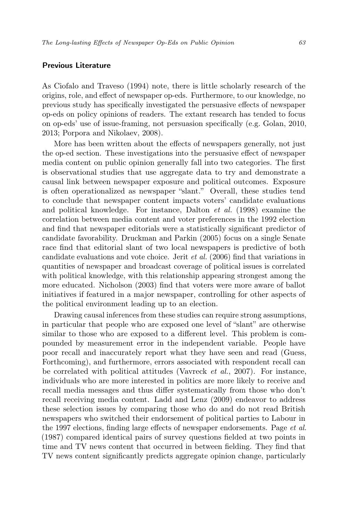## Previous Literature

As Ciofalo and Traveso (1994) note, there is little scholarly research of the origins, role, and effect of newspaper op-eds. Furthermore, to our knowledge, no previous study has specifically investigated the persuasive effects of newspaper op-eds on policy opinions of readers. The extant research has tended to focus on op-eds' use of issue-framing, not persuasion specifically (e.g. Golan, 2010, 2013; Porpora and Nikolaev, 2008).

More has been written about the effects of newspapers generally, not just the op-ed section. These investigations into the persuasive effect of newspaper media content on public opinion generally fall into two categories. The first is observational studies that use aggregate data to try and demonstrate a causal link between newspaper exposure and political outcomes. Exposure is often operationalized as newspaper "slant." Overall, these studies tend to conclude that newspaper content impacts voters' candidate evaluations and political knowledge. For instance, Dalton et al. (1998) examine the correlation between media content and voter preferences in the 1992 election and find that newspaper editorials were a statistically significant predictor of candidate favorability. Druckman and Parkin (2005) focus on a single Senate race find that editorial slant of two local newspapers is predictive of both candidate evaluations and vote choice. Jerit et al. (2006) find that variations in quantities of newspaper and broadcast coverage of political issues is correlated with political knowledge, with this relationship appearing strongest among the more educated. Nicholson (2003) find that voters were more aware of ballot initiatives if featured in a major newspaper, controlling for other aspects of the political environment leading up to an election.

Drawing causal inferences from these studies can require strong assumptions, in particular that people who are exposed one level of "slant" are otherwise similar to those who are exposed to a different level. This problem is compounded by measurement error in the independent variable. People have poor recall and inaccurately report what they have seen and read (Guess, Forthcoming), and furthermore, errors associated with respondent recall can be correlated with political attitudes (Vavreck  $et \ al.,\ 2007$ ). For instance, individuals who are more interested in politics are more likely to receive and recall media messages and thus differ systematically from those who don't recall receiving media content. Ladd and Lenz (2009) endeavor to address these selection issues by comparing those who do and do not read British newspapers who switched their endorsement of political parties to Labour in the 1997 elections, finding large effects of newspaper endorsements. Page et al. (1987) compared identical pairs of survey questions fielded at two points in time and TV news content that occurred in between fielding. They find that TV news content significantly predicts aggregate opinion change, particularly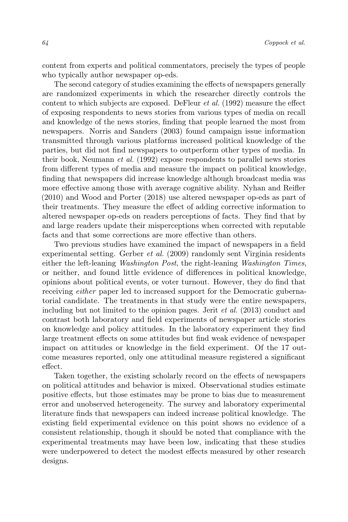content from experts and political commentators, precisely the types of people who typically author newspaper op-eds.

The second category of studies examining the effects of newspapers generally are randomized experiments in which the researcher directly controls the content to which subjects are exposed. DeFleur et al. (1992) measure the effect of exposing respondents to news stories from various types of media on recall and knowledge of the news stories, finding that people learned the most from newspapers. Norris and Sanders (2003) found campaign issue information transmitted through various platforms increased political knowledge of the parties, but did not find newspapers to outperform other types of media. In their book, Neumann et al. (1992) expose respondents to parallel news stories from different types of media and measure the impact on political knowledge, finding that newspapers did increase knowledge although broadcast media was more effective among those with average cognitive ability. Nyhan and Reifler (2010) and Wood and Porter (2018) use altered newspaper op-eds as part of their treatments. They measure the effect of adding corrective information to altered newspaper op-eds on readers perceptions of facts. They find that by and large readers update their misperceptions when corrected with reputable facts and that some corrections are more effective than others.

Two previous studies have examined the impact of newspapers in a field experimental setting. Gerber et al. (2009) randomly sent Virginia residents either the left-leaning Washington Post, the right-leaning Washington Times, or neither, and found little evidence of differences in political knowledge, opinions about political events, or voter turnout. However, they do find that receiving either paper led to increased support for the Democratic gubernatorial candidate. The treatments in that study were the entire newspapers, including but not limited to the opinion pages. Jerit et al. (2013) conduct and contrast both laboratory and field experiments of newspaper article stories on knowledge and policy attitudes. In the laboratory experiment they find large treatment effects on some attitudes but find weak evidence of newspaper impact on attitudes or knowledge in the field experiment. Of the 17 outcome measures reported, only one attitudinal measure registered a significant effect.

Taken together, the existing scholarly record on the effects of newspapers on political attitudes and behavior is mixed. Observational studies estimate positive effects, but those estimates may be prone to bias due to measurement error and unobserved heterogeneity. The survey and laboratory experimental literature finds that newspapers can indeed increase political knowledge. The existing field experimental evidence on this point shows no evidence of a consistent relationship, though it should be noted that compliance with the experimental treatments may have been low, indicating that these studies were underpowered to detect the modest effects measured by other research designs.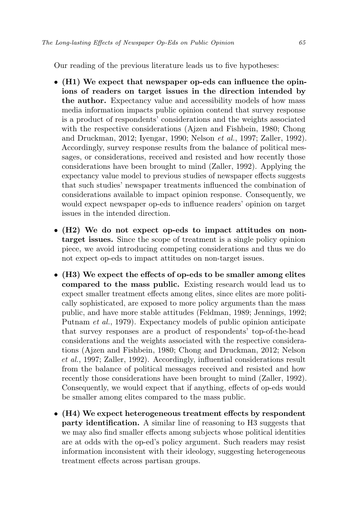Our reading of the previous literature leads us to five hypotheses:

- (H1) We expect that newspaper op-eds can influence the opinions of readers on target issues in the direction intended by the author. Expectancy value and accessibility models of how mass media information impacts public opinion contend that survey response is a product of respondents' considerations and the weights associated with the respective considerations (Ajzen and Fishbein, 1980; Chong and Druckman, 2012; Iyengar, 1990; Nelson et al., 1997; Zaller, 1992). Accordingly, survey response results from the balance of political messages, or considerations, received and resisted and how recently those considerations have been brought to mind (Zaller, 1992). Applying the expectancy value model to previous studies of newspaper effects suggests that such studies' newspaper treatments influenced the combination of considerations available to impact opinion response. Consequently, we would expect newspaper op-eds to influence readers' opinion on target issues in the intended direction.
- (H2) We do not expect op-eds to impact attitudes on nontarget issues. Since the scope of treatment is a single policy opinion piece, we avoid introducing competing considerations and thus we do not expect op-eds to impact attitudes on non-target issues.
- (H3) We expect the effects of op-eds to be smaller among elites compared to the mass public. Existing research would lead us to expect smaller treatment effects among elites, since elites are more politically sophisticated, are exposed to more policy arguments than the mass public, and have more stable attitudes (Feldman, 1989; Jennings, 1992; Putnam et al., 1979). Expectancy models of public opinion anticipate that survey responses are a product of respondents' top-of-the-head considerations and the weights associated with the respective considerations (Ajzen and Fishbein, 1980; Chong and Druckman, 2012; Nelson et al., 1997; Zaller, 1992). Accordingly, influential considerations result from the balance of political messages received and resisted and how recently those considerations have been brought to mind (Zaller, 1992). Consequently, we would expect that if anything, effects of op-eds would be smaller among elites compared to the mass public.
- (H4) We expect heterogeneous treatment effects by respondent party identification. A similar line of reasoning to H3 suggests that we may also find smaller effects among subjects whose political identities are at odds with the op-ed's policy argument. Such readers may resist information inconsistent with their ideology, suggesting heterogeneous treatment effects across partisan groups.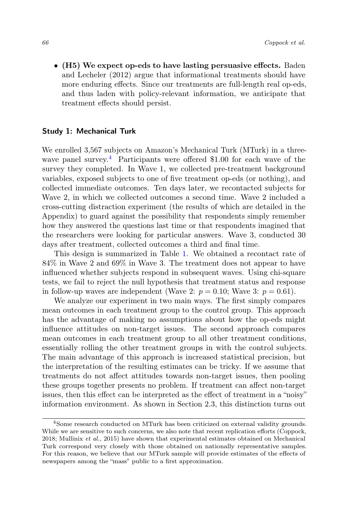• (H5) We expect op-eds to have lasting persuasive effects. Baden and Lecheler (2012) argue that informational treatments should have more enduring effects. Since our treatments are full-length real op-eds, and thus laden with policy-relevant information, we anticipate that treatment effects should persist.

## Study 1: Mechanical Turk

We enrolled 3,567 subjects on Amazon's Mechanical Turk (MTurk) in a three-wave panel survey.<sup>[4](#page-7-0)</sup> Participants were offered \$1.00 for each wave of the survey they completed. In Wave 1, we collected pre-treatment background variables, exposed subjects to one of five treatment op-eds (or nothing), and collected immediate outcomes. Ten days later, we recontacted subjects for Wave 2, in which we collected outcomes a second time. Wave 2 included a cross-cutting distraction experiment (the results of which are detailed in the Appendix) to guard against the possibility that respondents simply remember how they answered the questions last time or that respondents imagined that the researchers were looking for particular answers. Wave 3, conducted 30 days after treatment, collected outcomes a third and final time.

This design is summarized in Table [1.](#page-8-0) We obtained a recontact rate of 84% in Wave 2 and 69% in Wave 3. The treatment does not appear to have influenced whether subjects respond in subsequent waves. Using chi-square tests, we fail to reject the null hypothesis that treatment status and response in follow-up waves are independent (Wave 2:  $p = 0.10$ ; Wave 3:  $p = 0.61$ ).

We analyze our experiment in two main ways. The first simply compares mean outcomes in each treatment group to the control group. This approach has the advantage of making no assumptions about how the op-eds might influence attitudes on non-target issues. The second approach compares mean outcomes in each treatment group to all other treatment conditions, essentially rolling the other treatment groups in with the control subjects. The main advantage of this approach is increased statistical precision, but the interpretation of the resulting estimates can be tricky. If we assume that treatments do not affect attitudes towards non-target issues, then pooling these groups together presents no problem. If treatment can affect non-target issues, then this effect can be interpreted as the effect of treatment in a "noisy" information environment. As shown in Section 2.3, this distinction turns out

<span id="page-7-0"></span><sup>4</sup>Some research conducted on MTurk has been criticized on external validity grounds. While we are sensitive to such concerns, we also note that recent replication efforts (Coppock, 2018; Mullinix et al., 2015) have shown that experimental estimates obtained on Mechanical Turk correspond very closely with those obtained on nationally representative samples. For this reason, we believe that our MTurk sample will provide estimates of the effects of newspapers among the "mass" public to a first approximation.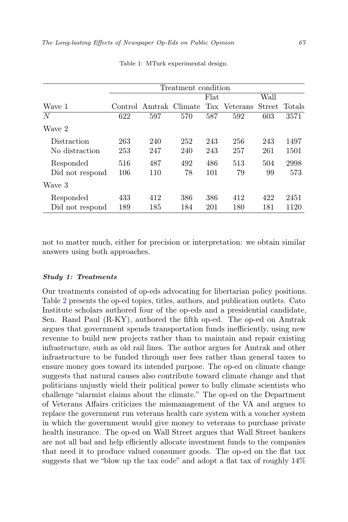<span id="page-8-0"></span>

|                 |     |                        | Treatment condition |      |              |      |               |
|-----------------|-----|------------------------|---------------------|------|--------------|------|---------------|
|                 |     |                        |                     | Flat |              | Wall |               |
| Wave 1          |     | Control Amtrak Climate |                     |      | Tax Veterans |      | Street Totals |
| N               | 622 | 597                    | 570                 | 587  | 592          | 603  | 3571          |
| Wave 2          |     |                        |                     |      |              |      |               |
| Distraction     | 263 | 240                    | 252                 | 243  | 256          | 243  | 1497          |
| No distraction  | 253 | 247                    | 240                 | 243  | 257          | 261  | 1501          |
| Responded       | 516 | 487                    | 492                 | 486  | 513          | 504  | 2998          |
| Did not respond | 106 | 110                    | 78                  | 101  | 79           | 99   | 573           |
| Wave 3          |     |                        |                     |      |              |      |               |
| Responded       | 433 | 412                    | 386                 | 386  | 412          | 422  | 2451          |
| Did not respond | 189 | 185                    | 184                 | 201  | 180          | 181  | 1120          |

Table 1: MTurk experimental design.

not to matter much, either for precision or interpretation: we obtain similar answers using both approaches.

#### Study 1: Treatments

Our treatments consisted of op-eds advocating for libertarian policy positions. Table [2](#page-9-0) presents the op-ed topics, titles, authors, and publication outlets. Cato Institute scholars authored four of the op-eds and a presidential candidate, Sen. Rand Paul (R-KY), authored the fifth op-ed. The op-ed on Amtrak argues that government spends transportation funds inefficiently, using new revenue to build new projects rather than to maintain and repair existing infrastructure, such as old rail lines. The author argues for Amtrak and other infrastructure to be funded through user fees rather than general taxes to ensure money goes toward its intended purpose. The op-ed on climate change suggests that natural causes also contribute toward climate change and that politicians unjustly wield their political power to bully climate scientists who challenge "alarmist claims about the climate." The op-ed on the Department of Veterans Affairs criticizes the mismanagement of the VA and argues to replace the government run veterans health care system with a voucher system in which the government would give money to veterans to purchase private health insurance. The op-ed on Wall Street argues that Wall Street bankers are not all bad and help efficiently allocate investment funds to the companies that need it to produce valued consumer goods. The op-ed on the flat tax suggests that we "blow up the tax code" and adopt a flat tax of roughly 14%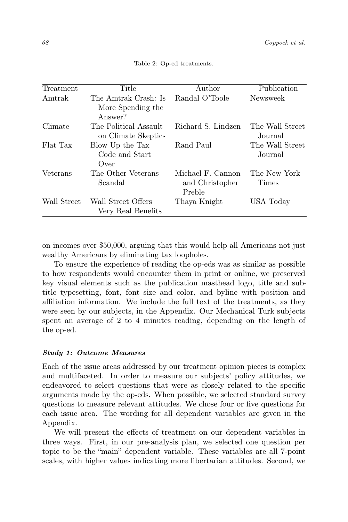<span id="page-9-0"></span>

| Treatment   | Title                                                | Author                                         | Publication                |
|-------------|------------------------------------------------------|------------------------------------------------|----------------------------|
| Amtrak      | The Amtrak Crash: Is<br>More Spending the<br>Answer? | Randal O'Toole                                 | Newsweek                   |
| Climate     | The Political Assault<br>on Climate Skeptics         | Richard S. Lindzen                             | The Wall Street<br>Journal |
| Flat Tax    | Blow Up the Tax<br>Code and Start<br>Over            | Rand Paul                                      | The Wall Street<br>Journal |
| Veterans    | The Other Veterans<br>Scandal                        | Michael F. Cannon<br>and Christopher<br>Preble | The New York<br>Times      |
| Wall Street | Wall Street Offers<br>Very Real Benefits             | Thaya Knight                                   | USA Today                  |

Table 2: Op-ed treatments.

on incomes over \$50,000, arguing that this would help all Americans not just wealthy Americans by eliminating tax loopholes.

To ensure the experience of reading the op-eds was as similar as possible to how respondents would encounter them in print or online, we preserved key visual elements such as the publication masthead logo, title and subtitle typesetting, font, font size and color, and byline with position and affiliation information. We include the full text of the treatments, as they were seen by our subjects, in the Appendix. Our Mechanical Turk subjects spent an average of 2 to 4 minutes reading, depending on the length of the op-ed.

#### Study 1: Outcome Measures

Each of the issue areas addressed by our treatment opinion pieces is complex and multifaceted. In order to measure our subjects' policy attitudes, we endeavored to select questions that were as closely related to the specific arguments made by the op-eds. When possible, we selected standard survey questions to measure relevant attitudes. We chose four or five questions for each issue area. The wording for all dependent variables are given in the Appendix.

We will present the effects of treatment on our dependent variables in three ways. First, in our pre-analysis plan, we selected one question per topic to be the "main" dependent variable. These variables are all 7-point scales, with higher values indicating more libertarian attitudes. Second, we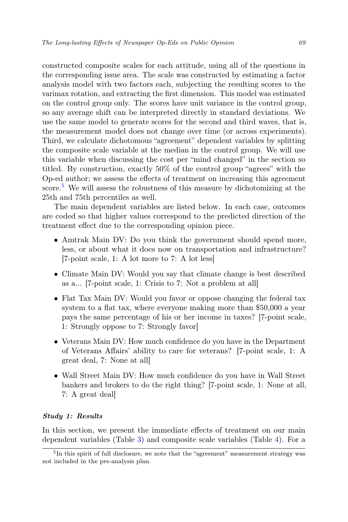constructed composite scales for each attitude, using all of the questions in the corresponding issue area. The scale was constructed by estimating a factor analysis model with two factors each, subjecting the resulting scores to the varimax rotation, and extracting the first dimension. This model was estimated on the control group only. The scores have unit variance in the control group, so any average shift can be interpreted directly in standard deviations. We use the same model to generate scores for the second and third waves, that is, the measurement model does not change over time (or across experiments). Third, we calculate dichotomous "agreement" dependent variables by splitting the composite scale variable at the median in the control group. We will use this variable when discussing the cost per "mind changed" in the section so titled. By construction, exactly 50% of the control group "agrees" with the Op-ed author; we assess the effects of treatment on increasing this agreement score.[5](#page-10-0) We will assess the robustness of this measure by dichotomizing at the 25th and 75th percentiles as well.

The main dependent variables are listed below. In each case, outcomes are coded so that higher values correspond to the predicted direction of the treatment effect due to the corresponding opinion piece.

- Amtrak Main DV: Do you think the government should spend more, less, or about what it does now on transportation and infrastructure? [7-point scale, 1: A lot more to 7: A lot less]
- Climate Main DV: Would you say that climate change is best described as a... [7-point scale, 1: Crisis to 7: Not a problem at all]
- Flat Tax Main DV: Would you favor or oppose changing the federal tax system to a flat tax, where everyone making more than \$50,000 a year pays the same percentage of his or her income in taxes? [7-point scale, 1: Strongly oppose to 7: Strongly favor]
- Veterans Main DV: How much confidence do you have in the Department of Veterans Affairs' ability to care for veterans? [7-point scale, 1: A great deal, 7: None at all]
- Wall Street Main DV: How much confidence do you have in Wall Street bankers and brokers to do the right thing? [7-point scale, 1: None at all, 7: A great deal]

#### Study 1: Results

In this section, we present the immediate effects of treatment on our main dependent variables (Table [3\)](#page-11-0) and composite scale variables (Table [4\)](#page-12-0). For a

<span id="page-10-0"></span><sup>&</sup>lt;sup>5</sup>In this spirit of full disclosure, we note that the "agreement" measurement strategy was not included in the pre-analysis plan.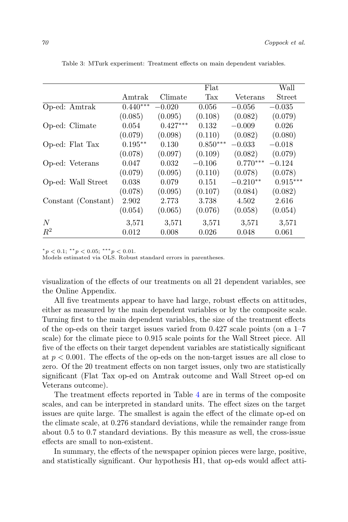|                     |            |            | Flat       |            | Wall       |
|---------------------|------------|------------|------------|------------|------------|
|                     | Amtrak     | Climate    | Tax        | Veterans   | Street     |
| Op-ed: Amtrak       | $0.440***$ | $-0.020$   | 0.056      | $-0.056$   | $-0.035$   |
|                     | (0.085)    | (0.095)    | (0.108)    | (0.082)    | (0.079)    |
| Op-ed: Climate      | 0.054      | $0.427***$ | 0.132      | $-0.009$   | 0.026      |
|                     | (0.079)    | (0.098)    | (0.110)    | (0.082)    | (0.080)    |
| Op-ed: Flat Tax     | $0.195**$  | 0.130      | $0.850***$ | $-0.033$   | $-0.018$   |
|                     | (0.078)    | (0.097)    | (0.109)    | (0.082)    | (0.079)    |
| Op-ed: Veterans     | 0.047      | 0.032      | $-0.106$   | $0.770***$ | $-0.124$   |
|                     | (0.079)    | (0.095)    | (0.110)    | (0.078)    | (0.078)    |
| Op-ed: Wall Street  | 0.038      | 0.079      | 0.151      | $-0.210**$ | $0.915***$ |
|                     | (0.078)    | (0.095)    | (0.107)    | (0.084)    | (0.082)    |
| Constant (Constant) | 2.902      | 2.773      | 3.738      | 4.502      | 2.616      |
|                     | (0.054)    | (0.065)    | (0.076)    | (0.058)    | (0.054)    |
| N                   | 3,571      | 3,571      | 3,571      | 3,571      | 3,571      |
| $R^2$               | 0.012      | 0.008      | 0.026      | 0.048      | 0.061      |

<span id="page-11-0"></span>Table 3: MTurk experiment: Treatment effects on main dependent variables.

 $*_p$  < 0.1;  $*_p$  < 0.05;  $^{***}$   $p$  < 0.01.

Models estimated via OLS. Robust standard errors in parentheses.

visualization of the effects of our treatments on all 21 dependent variables, see the Online Appendix.

All five treatments appear to have had large, robust effects on attitudes, either as measured by the main dependent variables or by the composite scale. Turning first to the main dependent variables, the size of the treatment effects of the op-eds on their target issues varied from 0.427 scale points (on a 1–7 scale) for the climate piece to 0.915 scale points for the Wall Street piece. All five of the effects on their target dependent variables are statistically significant at  $p < 0.001$ . The effects of the op-eds on the non-target issues are all close to zero. Of the 20 treatment effects on non target issues, only two are statistically significant (Flat Tax op-ed on Amtrak outcome and Wall Street op-ed on Veterans outcome).

The treatment effects reported in Table [4](#page-12-0) are in terms of the composite scales, and can be interpreted in standard units. The effect sizes on the target issues are quite large. The smallest is again the effect of the climate op-ed on the climate scale, at 0.276 standard deviations, while the remainder range from about 0.5 to 0.7 standard deviations. By this measure as well, the cross-issue effects are small to non-existent.

In summary, the effects of the newspaper opinion pieces were large, positive, and statistically significant. Our hypothesis H1, that op-eds would affect atti-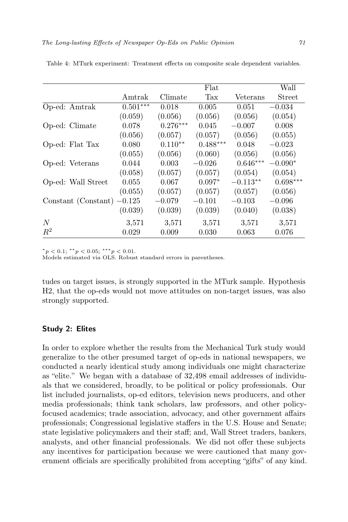|                     |            |            | Flat       |            | Wall       |
|---------------------|------------|------------|------------|------------|------------|
|                     | Amtrak     | Climate    | Tax        | Veterans   | Street     |
| Op-ed: Amtrak       | $0.501***$ | 0.018      | 0.005      | 0.051      | $-0.034$   |
|                     | (0.059)    | (0.056)    | (0.056)    | (0.056)    | (0.054)    |
| Op-ed: Climate      | 0.078      | $0.276***$ | 0.045      | $-0.007$   | 0.008      |
|                     | (0.056)    | (0.057)    | (0.057)    | (0.056)    | (0.055)    |
| Op-ed: Flat Tax     | 0.080      | $0.110**$  | $0.488***$ | 0.048      | $-0.023$   |
|                     | (0.055)    | (0.056)    | (0.060)    | (0.056)    | (0.056)    |
| Op-ed: Veterans     | 0.044      | 0.003      | $-0.026$   | $0.646***$ | $-0.090*$  |
|                     | (0.058)    | (0.057)    | (0.057)    | (0.054)    | (0.054)    |
| Op-ed: Wall Street  | 0.055      | 0.067      | $0.097*$   | $-0.113**$ | $0.698***$ |
|                     | (0.055)    | (0.057)    | (0.057)    | (0.057)    | (0.056)    |
| Constant (Constant) | $-0.125$   | $-0.079$   | $-0.101$   | $-0.103$   | $-0.096$   |
|                     | (0.039)    | (0.039)    | (0.039)    | (0.040)    | (0.038)    |
| N                   | 3,571      | 3,571      | 3,571      | 3,571      | 3,571      |
| $R^2$               | 0.029      | 0.009      | 0.030      | 0.063      | 0.076      |

<span id="page-12-0"></span>Table 4: MTurk experiment: Treatment effects on composite scale dependent variables.

 $*_p$  < 0.1;  $*_p$  < 0.05;  $^{***}$   $p$  < 0.01.

Models estimated via OLS. Robust standard errors in parentheses.

tudes on target issues, is strongly supported in the MTurk sample. Hypothesis H2, that the op-eds would not move attitudes on non-target issues, was also strongly supported.

#### Study 2: Elites

In order to explore whether the results from the Mechanical Turk study would generalize to the other presumed target of op-eds in national newspapers, we conducted a nearly identical study among individuals one might characterize as "elite." We began with a database of 32,498 email addresses of individuals that we considered, broadly, to be political or policy professionals. Our list included journalists, op-ed editors, television news producers, and other media professionals; think tank scholars, law professors, and other policyfocused academics; trade association, advocacy, and other government affairs professionals; Congressional legislative staffers in the U.S. House and Senate; state legislative policymakers and their staff; and, Wall Street traders, bankers, analysts, and other financial professionals. We did not offer these subjects any incentives for participation because we were cautioned that many government officials are specifically prohibited from accepting "gifts" of any kind.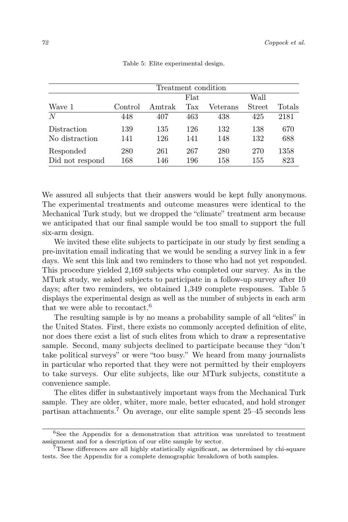<span id="page-13-0"></span>

|                 |         | Treatment condition |      |          |               |        |
|-----------------|---------|---------------------|------|----------|---------------|--------|
|                 |         |                     | Flat |          | Wall          |        |
| Wave 1          | Control | Amtrak              | Tax  | Veterans | <b>Street</b> | Totals |
| N               | 448     | 407                 | 463  | 438      | 425           | 2181   |
| Distraction     | 139     | 135                 | 126  | 132      | 138           | 670    |
| No distraction  | 141     | 126                 | 141  | 148      | 132           | 688    |
| Responded       | 280     | 261                 | 267  | 280      | 270           | 1358   |
| Did not respond | 168     | 146                 | 196  | 158      | 155           | 823    |

Table 5: Elite experimental design.

We assured all subjects that their answers would be kept fully anonymous. The experimental treatments and outcome measures were identical to the Mechanical Turk study, but we dropped the "climate" treatment arm because we anticipated that our final sample would be too small to support the full six-arm design.

We invited these elite subjects to participate in our study by first sending a pre-invitation email indicating that we would be sending a survey link in a few days. We sent this link and two reminders to those who had not yet responded. This procedure yielded 2,169 subjects who completed our survey. As in the MTurk study, we asked subjects to participate in a follow-up survey after 10 days; after two reminders, we obtained 1,349 complete responses. Table [5](#page-13-0) displays the experimental design as well as the number of subjects in each arm that we were able to recontact.<sup>[6](#page-13-1)</sup>

The resulting sample is by no means a probability sample of all "elites" in the United States. First, there exists no commonly accepted definition of elite, nor does there exist a list of such elites from which to draw a representative sample. Second, many subjects declined to participate because they "don't take political surveys" or were "too busy." We heard from many journalists in particular who reported that they were not permitted by their employers to take surveys. Our elite subjects, like our MTurk subjects, constitute a convenience sample.

The elites differ in substantively important ways from the Mechanical Turk sample. They are older, whiter, more male, better educated, and hold stronger partisan attachments.<sup>[7](#page-13-2)</sup> On average, our elite sample spent  $25-45$  seconds less

<span id="page-13-1"></span><sup>6</sup>See the Appendix for a demonstration that attrition was unrelated to treatment assignment and for a description of our elite sample by sector.

<span id="page-13-2"></span><sup>7</sup>These differences are all highly statistically significant, as determined by chi-square tests. See the Appendix for a complete demographic breakdown of both samples.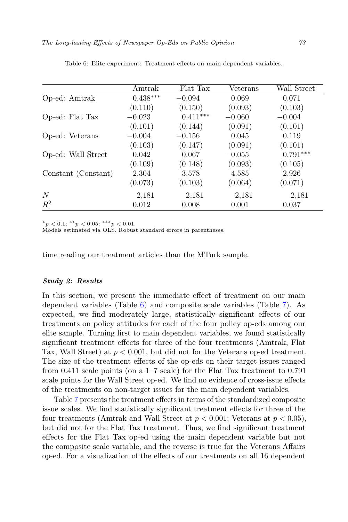|                     | Amtrak     | Flat Tax   | Veterans | Wall Street |
|---------------------|------------|------------|----------|-------------|
| Op-ed: Amtrak       | $0.438***$ | $-0.094$   | 0.069    | 0.071       |
|                     | (0.110)    | (0.150)    | (0.093)  | (0.103)     |
| Op-ed: Flat Tax     | $-0.023$   | $0.411***$ | $-0.060$ | $-0.004$    |
|                     | (0.101)    | (0.144)    | (0.091)  | (0.101)     |
| Op-ed: Veterans     | $-0.004$   | $-0.156$   | 0.045    | 0.119       |
|                     | (0.103)    | (0.147)    | (0.091)  | (0.101)     |
| Op-ed: Wall Street  | 0.042      | 0.067      | $-0.055$ | $0.791***$  |
|                     | (0.109)    | (0.148)    | (0.093)  | (0.105)     |
| Constant (Constant) | 2.304      | 3.578      | 4.585    | 2.926       |
|                     | (0.073)    | (0.103)    | (0.064)  | (0.071)     |
| N                   | 2,181      | 2,181      | 2,181    | 2,181       |
| $R^2$               | 0.012      | 0.008      | 0.001    | 0.037       |

<span id="page-14-0"></span>Table 6: Elite experiment: Treatment effects on main dependent variables.

 $*_p$  < 0.1;  $^{**}p$  < 0.05;  $^{***}p$  < 0.01.

Models estimated via OLS. Robust standard errors in parentheses.

time reading our treatment articles than the MTurk sample.

#### Study 2: Results

In this section, we present the immediate effect of treatment on our main dependent variables (Table [6\)](#page-14-0) and composite scale variables (Table [7\)](#page-15-0). As expected, we find moderately large, statistically significant effects of our treatments on policy attitudes for each of the four policy op-eds among our elite sample. Turning first to main dependent variables, we found statistically significant treatment effects for three of the four treatments (Amtrak, Flat Tax, Wall Street) at  $p < 0.001$ , but did not for the Veterans op-ed treatment. The size of the treatment effects of the op-eds on their target issues ranged from 0.411 scale points (on a 1–7 scale) for the Flat Tax treatment to 0.791 scale points for the Wall Street op-ed. We find no evidence of cross-issue effects of the treatments on non-target issues for the main dependent variables.

Table [7](#page-15-0) presents the treatment effects in terms of the standardized composite issue scales. We find statistically significant treatment effects for three of the four treatments (Amtrak and Wall Street at  $p < 0.001$ ; Veterans at  $p < 0.05$ ), but did not for the Flat Tax treatment. Thus, we find significant treatment effects for the Flat Tax op-ed using the main dependent variable but not the composite scale variable, and the reverse is true for the Veterans Affairs op-ed. For a visualization of the effects of our treatments on all 16 dependent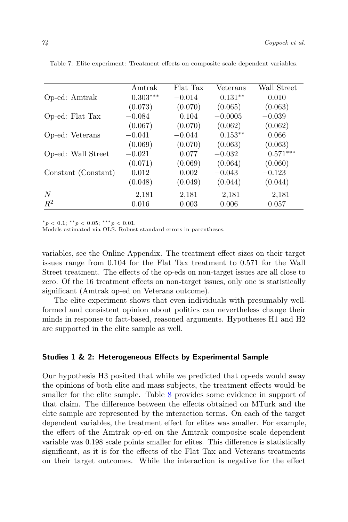|                     | Amtrak     | Flat Tax | Veterans  | Wall Street |
|---------------------|------------|----------|-----------|-------------|
| Op-ed: Amtrak       | $0.303***$ | $-0.014$ | $0.131**$ | 0.010       |
|                     | (0.073)    | (0.070)  | (0.065)   | (0.063)     |
| Op-ed: Flat Tax     | $-0.084$   | 0.104    | $-0.0005$ | $-0.039$    |
|                     | (0.067)    | (0.070)  | (0.062)   | (0.062)     |
| Op-ed: Veterans     | $-0.041$   | $-0.044$ | $0.153**$ | 0.066       |
|                     | (0.069)    | (0.070)  | (0.063)   | (0.063)     |
| Op-ed: Wall Street  | $-0.021$   | 0.077    | $-0.032$  | $0.571***$  |
|                     | (0.071)    | (0.069)  | (0.064)   | (0.060)     |
| Constant (Constant) | 0.012      | 0.002    | $-0.043$  | $-0.123$    |
|                     | (0.048)    | (0.049)  | (0.044)   | (0.044)     |
| N                   | 2,181      | 2,181    | 2,181     | 2,181       |
| $R^2$               | 0.016      | 0.003    | 0.006     | 0.057       |

<span id="page-15-0"></span>Table 7: Elite experiment: Treatment effects on composite scale dependent variables.

 $*_p$  < 0.1;  $^{**}p$  < 0.05;  $^{***}p$  < 0.01.

Models estimated via OLS. Robust standard errors in parentheses.

variables, see the Online Appendix. The treatment effect sizes on their target issues range from 0.104 for the Flat Tax treatment to 0.571 for the Wall Street treatment. The effects of the op-eds on non-target issues are all close to zero. Of the 16 treatment effects on non-target issues, only one is statistically significant (Amtrak op-ed on Veterans outcome).

The elite experiment shows that even individuals with presumably wellformed and consistent opinion about politics can nevertheless change their minds in response to fact-based, reasoned arguments. Hypotheses H1 and H2 are supported in the elite sample as well.

## Studies 1 & 2: Heterogeneous Effects by Experimental Sample

Our hypothesis H3 posited that while we predicted that op-eds would sway the opinions of both elite and mass subjects, the treatment effects would be smaller for the elite sample. Table [8](#page-16-0) provides some evidence in support of that claim. The difference between the effects obtained on MTurk and the elite sample are represented by the interaction terms. On each of the target dependent variables, the treatment effect for elites was smaller. For example, the effect of the Amtrak op-ed on the Amtrak composite scale dependent variable was 0.198 scale points smaller for elites. This difference is statistically significant, as it is for the effects of the Flat Tax and Veterans treatments on their target outcomes. While the interaction is negative for the effect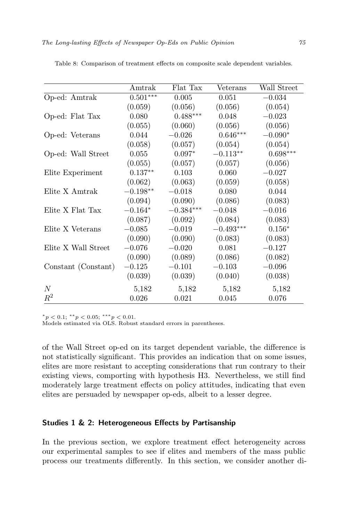|                     | Amtrak     | Flat Tax    | Veterans    | Wall Street |
|---------------------|------------|-------------|-------------|-------------|
| Op-ed: Amtrak       | $0.501***$ | 0.005       | 0.051       | $-0.034$    |
|                     | (0.059)    | (0.056)     | (0.056)     | (0.054)     |
| Op-ed: Flat Tax     | 0.080      | $0.488***$  | 0.048       | $-0.023$    |
|                     | (0.055)    | (0.060)     | (0.056)     | (0.056)     |
| Op-ed: Veterans     | 0.044      | $-0.026$    | $0.646***$  | $-0.090*$   |
|                     | (0.058)    | (0.057)     | (0.054)     | (0.054)     |
| Op-ed: Wall Street  | 0.055      | $0.097*$    | $-0.113**$  | $0.698***$  |
|                     | (0.055)    | (0.057)     | (0.057)     | (0.056)     |
| Elite Experiment    | $0.137**$  | 0.103       | 0.060       | $-0.027$    |
|                     | (0.062)    | (0.063)     | (0.059)     | (0.058)     |
| Elite X Amtrak      | $-0.198**$ | $-0.018$    | 0.080       | 0.044       |
|                     | (0.094)    | (0.090)     | (0.086)     | (0.083)     |
| Elite X Flat Tax    | $-0.164*$  | $-0.384***$ | $-0.048$    | $-0.016$    |
|                     | (0.087)    | (0.092)     | (0.084)     | (0.083)     |
| Elite X Veterans    | $-0.085$   | $-0.019$    | $-0.493***$ | $0.156*$    |
|                     | (0.090)    | (0.090)     | (0.083)     | (0.083)     |
| Elite X Wall Street | $-0.076$   | $-0.020$    | 0.081       | $-0.127$    |
|                     | (0.090)    | (0.089)     | (0.086)     | (0.082)     |
| Constant (Constant) | $-0.125$   | $-0.101$    | $-0.103$    | $-0.096$    |
|                     | (0.039)    | (0.039)     | (0.040)     | (0.038)     |
| N                   | 5,182      | 5,182       | 5,182       | 5,182       |
| $R^2$               | 0.026      | 0.021       | 0.045       | 0.076       |

<span id="page-16-0"></span>Table 8: Comparison of treatment effects on composite scale dependent variables.

\* $p < 0.1$ ; \*\* $p < 0.05$ ; \*\*\* $p < 0.01$ .<br>Models estimated via OLS. Robust standard errors in parentheses.

of the Wall Street op-ed on its target dependent variable, the difference is not statistically significant. This provides an indication that on some issues, elites are more resistant to accepting considerations that run contrary to their existing views, comporting with hypothesis H3. Nevertheless, we still find moderately large treatment effects on policy attitudes, indicating that even elites are persuaded by newspaper op-eds, albeit to a lesser degree.

## Studies 1 & 2: Heterogeneous Effects by Partisanship

In the previous section, we explore treatment effect heterogeneity across our experimental samples to see if elites and members of the mass public process our treatments differently. In this section, we consider another di-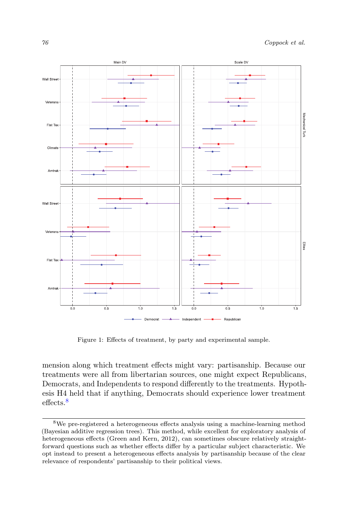<span id="page-17-1"></span>

Figure 1: Effects of treatment, by party and experimental sample.

mension along which treatment effects might vary: partisanship. Because our treatments were all from libertarian sources, one might expect Republicans, Democrats, and Independents to respond differently to the treatments. Hypothesis H4 held that if anything, Democrats should experience lower treatment effects<sup>[8](#page-17-0)</sup>

<span id="page-17-0"></span><sup>8</sup>We pre-registered a heterogeneous effects analysis using a machine-learning method (Bayesian additive regression trees). This method, while excellent for exploratory analysis of heterogeneous effects (Green and Kern, 2012), can sometimes obscure relatively straightforward questions such as whether effects differ by a particular subject characteristic. We opt instead to present a heterogeneous effects analysis by partisanship because of the clear relevance of respondents' partisanship to their political views.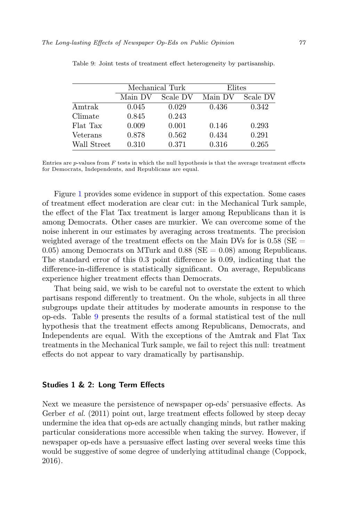|             |         | Mechanical Turk | Elites  |          |  |
|-------------|---------|-----------------|---------|----------|--|
|             | Main DV | Scale DV        | Main DV | Scale DV |  |
| Amtrak      | 0.045   | 0.029           | 0.436   | 0.342    |  |
| Climate     | 0.845   | 0.243           |         |          |  |
| Flat Tax    | 0.009   | 0.001           | 0.146   | 0.293    |  |
| Veterans    | 0.878   | 0.562           | 0.434   | 0.291    |  |
| Wall Street | 0.310   | 0.371           | 0.316   | 0.265    |  |

<span id="page-18-0"></span>Table 9: Joint tests of treatment effect heterogeneity by partisanship.

Entries are  $p$ -values from  $F$  tests in which the null hypothesis is that the average treatment effects for Democrats, Independents, and Republicans are equal.

Figure [1](#page-17-1) provides some evidence in support of this expectation. Some cases of treatment effect moderation are clear cut: in the Mechanical Turk sample, the effect of the Flat Tax treatment is larger among Republicans than it is among Democrats. Other cases are murkier. We can overcome some of the noise inherent in our estimates by averaging across treatments. The precision weighted average of the treatment effects on the Main DVs for is  $0.58$  (SE  $=$ 0.05) among Democrats on MTurk and 0.88 ( $SE = 0.08$ ) among Republicans. The standard error of this 0.3 point difference is 0.09, indicating that the difference-in-difference is statistically significant. On average, Republicans experience higher treatment effects than Democrats.

That being said, we wish to be careful not to overstate the extent to which partisans respond differently to treatment. On the whole, subjects in all three subgroups update their attitudes by moderate amounts in response to the op-eds. Table [9](#page-18-0) presents the results of a formal statistical test of the null hypothesis that the treatment effects among Republicans, Democrats, and Independents are equal. With the exceptions of the Amtrak and Flat Tax treatments in the Mechanical Turk sample, we fail to reject this null: treatment effects do not appear to vary dramatically by partisanship.

## Studies 1 & 2: Long Term Effects

Next we measure the persistence of newspaper op-eds' persuasive effects. As Gerber *et al.* (2011) point out, large treatment effects followed by steep decay undermine the idea that op-eds are actually changing minds, but rather making particular considerations more accessible when taking the survey. However, if newspaper op-eds have a persuasive effect lasting over several weeks time this would be suggestive of some degree of underlying attitudinal change (Coppock, 2016).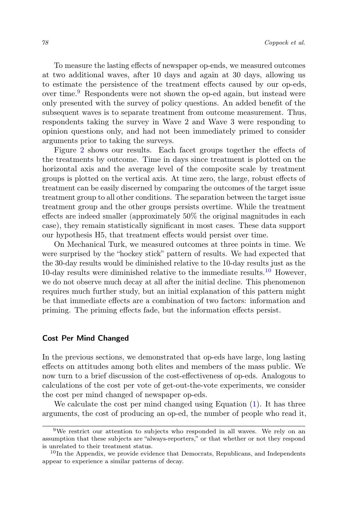To measure the lasting effects of newspaper op-ends, we measured outcomes at two additional waves, after 10 days and again at 30 days, allowing us to estimate the persistence of the treatment effects caused by our op-eds, over time.[9](#page-19-0) Respondents were not shown the op-ed again, but instead were only presented with the survey of policy questions. An added benefit of the subsequent waves is to separate treatment from outcome measurement. Thus, respondents taking the survey in Wave 2 and Wave 3 were responding to opinion questions only, and had not been immediately primed to consider arguments prior to taking the surveys.

Figure [2](#page-20-0) shows our results. Each facet groups together the effects of the treatments by outcome. Time in days since treatment is plotted on the horizontal axis and the average level of the composite scale by treatment groups is plotted on the vertical axis. At time zero, the large, robust effects of treatment can be easily discerned by comparing the outcomes of the target issue treatment group to all other conditions. The separation between the target issue treatment group and the other groups persists overtime. While the treatment effects are indeed smaller (approximately 50% the original magnitudes in each case), they remain statistically significant in most cases. These data support our hypothesis H5, that treatment effects would persist over time.

On Mechanical Turk, we measured outcomes at three points in time. We were surprised by the "hockey stick" pattern of results. We had expected that the 30-day results would be diminished relative to the 10-day results just as the [10](#page-19-1)-day results were diminished relative to the immediate results.<sup>10</sup> However, we do not observe much decay at all after the initial decline. This phenomenon requires much further study, but an initial explanation of this pattern might be that immediate effects are a combination of two factors: information and priming. The priming effects fade, but the information effects persist.

## Cost Per Mind Changed

In the previous sections, we demonstrated that op-eds have large, long lasting effects on attitudes among both elites and members of the mass public. We now turn to a brief discussion of the cost-effectiveness of op-eds. Analogous to calculations of the cost per vote of get-out-the-vote experiments, we consider the cost per mind changed of newspaper op-eds.

We calculate the cost per mind changed using Equation  $(1)$ . It has three arguments, the cost of producing an op-ed, the number of people who read it,

<span id="page-19-0"></span> $9$ We restrict our attention to subjects who responded in all waves. We rely on an assumption that these subjects are "always-reporters," or that whether or not they respond is unrelated to their treatment status.

<span id="page-19-1"></span><sup>&</sup>lt;sup>10</sup>In the Appendix, we provide evidence that Democrats, Republicans, and Independents appear to experience a similar patterns of decay.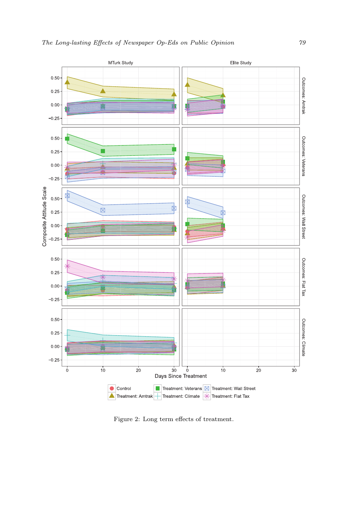<span id="page-20-0"></span>

Figure 2: Long term effects of treatment.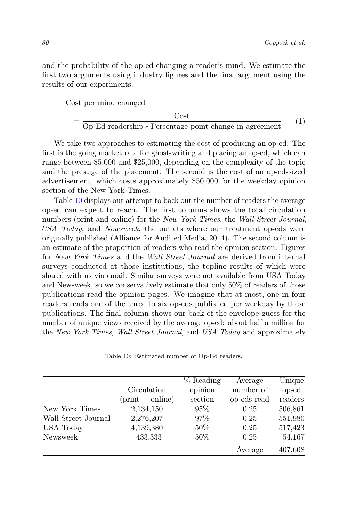and the probability of the op-ed changing a reader's mind. We estimate the first two arguments using industry figures and the final argument using the results of our experiments.

<span id="page-21-0"></span>Cost per mind changed

$$
= \frac{\text{Cost}}{\text{Op-Ed readership} * \text{Percentage point change in agreement}} \qquad (1)
$$

We take two approaches to estimating the cost of producing an op-ed. The first is the going market rate for ghost-writing and placing an op-ed, which can range between \$5,000 and \$25,000, depending on the complexity of the topic and the prestige of the placement. The second is the cost of an op-ed-sized advertisement, which costs approximately \$50,000 for the weekday opinion section of the New York Times.

Table [10](#page-21-1) displays our attempt to back out the number of readers the average op-ed can expect to reach. The first columns shows the total circulation numbers (print and online) for the New York Times, the Wall Street Journal, USA Today, and Newsweek, the outlets where our treatment op-eds were originally published (Alliance for Audited Media, 2014). The second column is an estimate of the proportion of readers who read the opinion section. Figures for New York Times and the Wall Street Journal are derived from internal surveys conducted at those institutions, the topline results of which were shared with us via email. Similar surveys were not available from USA Today and Newsweek, so we conservatively estimate that only 50% of readers of those publications read the opinion pages. We imagine that at most, one in four readers reads one of the three to six op-eds published per weekday by these publications. The final column shows our back-of-the-envelope guess for the number of unique views received by the average op-ed: about half a million for the New York Times, Wall Street Journal, and USA Today and approximately

Table 10: Estimated number of Op-Ed readers.

<span id="page-21-1"></span>

|                     | Circulation<br>$(\text{print} + \text{online})$ | % Reading<br>opinion<br>section | Average<br>number of<br>op-eds read | Unique<br>op-ed<br>readers |
|---------------------|-------------------------------------------------|---------------------------------|-------------------------------------|----------------------------|
| New York Times      | 2,134,150                                       | $95\%$                          | 0.25                                | 506,861                    |
| Wall Street Journal | 2,276,207                                       | 97\%                            | 0.25                                | 551,980                    |
| <b>USA Today</b>    | 4,139,380                                       | $50\%$                          | 0.25                                | 517,423                    |
| Newsweek            | 433,333                                         | $50\%$                          | 0.25                                | 54,167                     |
|                     |                                                 |                                 | Average                             | 407,608                    |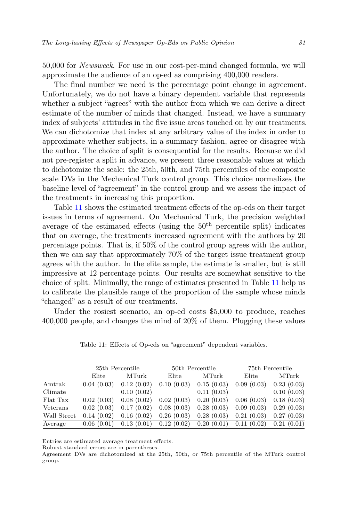50,000 for Newsweek. For use in our cost-per-mind changed formula, we will approximate the audience of an op-ed as comprising 400,000 readers.

The final number we need is the percentage point change in agreement. Unfortunately, we do not have a binary dependent variable that represents whether a subject "agrees" with the author from which we can derive a direct estimate of the number of minds that changed. Instead, we have a summary index of subjects' attitudes in the five issue areas touched on by our treatments. We can dichotomize that index at any arbitrary value of the index in order to approximate whether subjects, in a summary fashion, agree or disagree with the author. The choice of split is consequential for the results. Because we did not pre-register a split in advance, we present three reasonable values at which to dichotomize the scale: the 25th, 50th, and 75th percentiles of the composite scale DVs in the Mechanical Turk control group. This choice normalizes the baseline level of "agreement" in the control group and we assess the impact of the treatments in increasing this proportion.

Table [11](#page-22-0) shows the estimated treatment effects of the op-eds on their target issues in terms of agreement. On Mechanical Turk, the precision weighted average of the estimated effects (using the  $50<sup>th</sup>$  percentile split) indicates that on average, the treatments increased agreement with the authors by 20 percentage points. That is, if 50% of the control group agrees with the author, then we can say that approximately 70% of the target issue treatment group agrees with the author. In the elite sample, the estimate is smaller, but is still impressive at 12 percentage points. Our results are somewhat sensitive to the choice of split. Minimally, the range of estimates presented in Table [11](#page-22-0) help us to calibrate the plausible range of the proportion of the sample whose minds "changed" as a result of our treatments.

Under the rosiest scenario, an op-ed costs \$5,000 to produce, reaches 400,000 people, and changes the mind of 20% of them. Plugging these values

<span id="page-22-0"></span>

|             | 25th Percentile |            |                                                                                 | 50th Percentile | 75th Percentile |            |
|-------------|-----------------|------------|---------------------------------------------------------------------------------|-----------------|-----------------|------------|
|             | Elite           | MTurk      | $E$ lite                                                                        | MTurk           | $E$ lite        | MTurk      |
| Amtrak      |                 |            | $0.04(0.03)$ $0.12(0.02)$ $0.10(0.03)$ $0.15(0.03)$ $0.09(0.03)$ $0.23(0.03)$   |                 |                 |            |
| Climate     |                 | 0.10(0.02) |                                                                                 | 0.11(0.03)      |                 | 0.10(0.03) |
| Flat Tax    |                 |            | $0.02(0.03)$ $0.08(0.02)$ $0.02(0.03)$ $0.20(0.03)$ $0.06(0.03)$ $0.18(0.03)$   |                 |                 |            |
| Veterans    |                 |            | $0.02(0.03)$ $0.17(0.02)$ $0.08(0.03)$ $0.28(0.03)$ $0.09(0.03)$                |                 |                 | 0.29(0.03) |
| Wall Street |                 |            | $0.14$ $(0.02)$ $0.16$ $(0.02)$ $0.26$ $(0.03)$ $0.28$ $(0.03)$ $0.21$ $(0.03)$ |                 |                 | 0.27(0.03) |
| Average     |                 |            | $0.06(0.01)$ $0.13(0.01)$ $0.12(0.02)$ $0.20(0.01)$ $0.11(0.02)$ $0.21(0.01)$   |                 |                 |            |

Table 11: Effects of Op-eds on "agreement" dependent variables.

Entries are estimated average treatment effects.

Robust standard errors are in parentheses.

Agreement DVs are dichotomized at the 25th, 50th, or 75th percentile of the MTurk control group.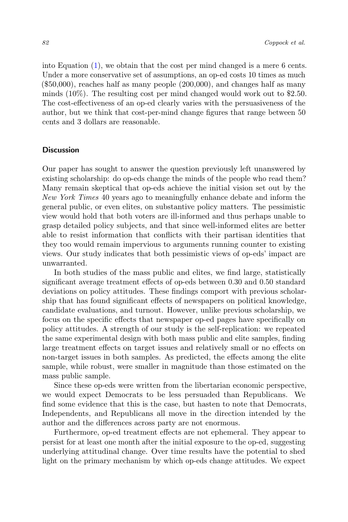into Equation [\(1\)](#page-21-0), we obtain that the cost per mind changed is a mere 6 cents. Under a more conservative set of assumptions, an op-ed costs 10 times as much (\$50,000), reaches half as many people (200,000), and changes half as many minds (10%). The resulting cost per mind changed would work out to \$2.50. The cost-effectiveness of an op-ed clearly varies with the persuasiveness of the author, but we think that cost-per-mind change figures that range between 50 cents and 3 dollars are reasonable.

## **Discussion**

Our paper has sought to answer the question previously left unanswered by existing scholarship: do op-eds change the minds of the people who read them? Many remain skeptical that op-eds achieve the initial vision set out by the New York Times 40 years ago to meaningfully enhance debate and inform the general public, or even elites, on substantive policy matters. The pessimistic view would hold that both voters are ill-informed and thus perhaps unable to grasp detailed policy subjects, and that since well-informed elites are better able to resist information that conflicts with their partisan identities that they too would remain impervious to arguments running counter to existing views. Our study indicates that both pessimistic views of op-eds' impact are unwarranted.

In both studies of the mass public and elites, we find large, statistically significant average treatment effects of op-eds between 0.30 and 0.50 standard deviations on policy attitudes. These findings comport with previous scholarship that has found significant effects of newspapers on political knowledge, candidate evaluations, and turnout. However, unlike previous scholarship, we focus on the specific effects that newspaper op-ed pages have specifically on policy attitudes. A strength of our study is the self-replication: we repeated the same experimental design with both mass public and elite samples, finding large treatment effects on target issues and relatively small or no effects on non-target issues in both samples. As predicted, the effects among the elite sample, while robust, were smaller in magnitude than those estimated on the mass public sample.

Since these op-eds were written from the libertarian economic perspective, we would expect Democrats to be less persuaded than Republicans. We find some evidence that this is the case, but hasten to note that Democrats, Independents, and Republicans all move in the direction intended by the author and the differences across party are not enormous.

Furthermore, op-ed treatment effects are not ephemeral. They appear to persist for at least one month after the initial exposure to the op-ed, suggesting underlying attitudinal change. Over time results have the potential to shed light on the primary mechanism by which op-eds change attitudes. We expect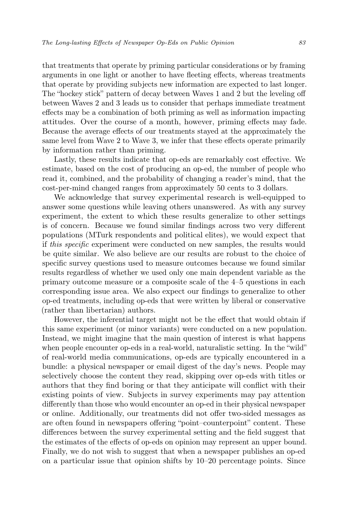that treatments that operate by priming particular considerations or by framing arguments in one light or another to have fleeting effects, whereas treatments that operate by providing subjects new information are expected to last longer. The "hockey stick" pattern of decay between Waves 1 and 2 but the leveling off between Waves 2 and 3 leads us to consider that perhaps immediate treatment effects may be a combination of both priming as well as information impacting attitudes. Over the course of a month, however, priming effects may fade. Because the average effects of our treatments stayed at the approximately the same level from Wave 2 to Wave 3, we infer that these effects operate primarily by information rather than priming.

Lastly, these results indicate that op-eds are remarkably cost effective. We estimate, based on the cost of producing an op-ed, the number of people who read it, combined, and the probability of changing a reader's mind, that the cost-per-mind changed ranges from approximately 50 cents to 3 dollars.

We acknowledge that survey experimental research is well-equipped to answer some questions while leaving others unanswered. As with any survey experiment, the extent to which these results generalize to other settings is of concern. Because we found similar findings across two very different populations (MTurk respondents and political elites), we would expect that if this specific experiment were conducted on new samples, the results would be quite similar. We also believe are our results are robust to the choice of specific survey questions used to measure outcomes because we found similar results regardless of whether we used only one main dependent variable as the primary outcome measure or a composite scale of the 4–5 questions in each corresponding issue area. We also expect our findings to generalize to other op-ed treatments, including op-eds that were written by liberal or conservative (rather than libertarian) authors.

However, the inferential target might not be the effect that would obtain if this same experiment (or minor variants) were conducted on a new population. Instead, we might imagine that the main question of interest is what happens when people encounter op-eds in a real-world, naturalistic setting. In the "wild" of real-world media communications, op-eds are typically encountered in a bundle: a physical newspaper or email digest of the day's news. People may selectively choose the content they read, skipping over op-eds with titles or authors that they find boring or that they anticipate will conflict with their existing points of view. Subjects in survey experiments may pay attention differently than those who would encounter an op-ed in their physical newspaper or online. Additionally, our treatments did not offer two-sided messages as are often found in newspapers offering "point–counterpoint" content. These differences between the survey experimental setting and the field suggest that the estimates of the effects of op-eds on opinion may represent an upper bound. Finally, we do not wish to suggest that when a newspaper publishes an op-ed on a particular issue that opinion shifts by 10–20 percentage points. Since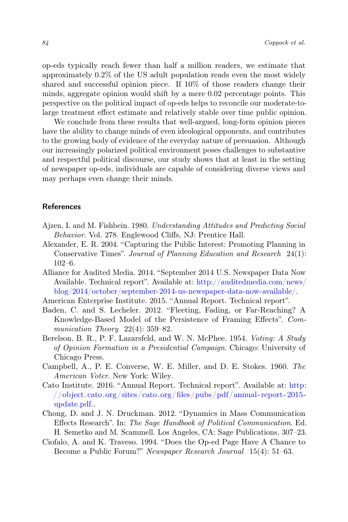op-eds typically reach fewer than half a million readers, we estimate that approximately 0.2% of the US adult population reads even the most widely shared and successful opinion piece. If 10% of those readers change their minds, aggregate opinion would shift by a mere 0.02 percentage points. This perspective on the political impact of op-eds helps to reconcile our moderate-tolarge treatment effect estimate and relatively stable over time public opinion.

We conclude from these results that well-argued, long-form opinion pieces have the ability to change minds of even ideological opponents, and contributes to the growing body of evidence of the everyday nature of persuasion. Although our increasingly polarized political environment poses challenges to substantive and respectful political discourse, our study shows that at least in the setting of newspaper op-eds, individuals are capable of considering diverse views and may perhaps even change their minds.

## References

- Ajzen, I. and M. Fishbein. 1980. Understanding Attitudes and Predicting Social Behavior. Vol. 278. Englewood Cliffs, NJ: Prentice Hall.
- Alexander, E. R. 2004. "Capturing the Public Interest: Promoting Planning in Conservative Times". Journal of Planning Education and Research 24(1): 102–6.
- Alliance for Audited Media. 2014. "September 2014 U.S. Newspaper Data Now Available. Technical report". Available at: [http://auditedmedia.com/news/](http://auditedmedia.com/news/blog/2014/october/september-2014-us-newspaper-data-now-available/) [blog/2014/october/september-2014-us-newspaper-data-now-available/.](http://auditedmedia.com/news/blog/2014/october/september-2014-us-newspaper-data-now-available/)
- American Enterprise Institute. 2015. "Annual Report. Technical report".
- Baden, C. and S. Lecheler. 2012. "Fleeting, Fading, or Far-Reaching? A Knowledge-Based Model of the Persistence of Framing Effects". Communication Theory  $22(4)$ : 359–82.
- Berelson, B. R., P. F. Lazarsfeld, and W. N. McPhee. 1954. Voting: A Study of Opinion Formation in a Presidential Campaign. Chicago: University of Chicago Press.
- Campbell, A., P. E. Converse, W. E. Miller, and D. E. Stokes. 1960. The American Voter. New York: Wiley.
- Cato Institute. 2016. "Annual Report. Technical report". Available at: [http:](http://object.cato.org/sites/cato.org/files/pubs/pdf/annual-report-2015-update.pdf.) [//object.cato.org/sites/cato.org/files/pubs/pdf/annual- report- 2015](http://object.cato.org/sites/cato.org/files/pubs/pdf/annual-report-2015-update.pdf.) [update.pdf..](http://object.cato.org/sites/cato.org/files/pubs/pdf/annual-report-2015-update.pdf.)
- Chong, D. and J. N. Druckman. 2012. "Dynamics in Mass Communication Effects Research". In: The Sage Handbook of Political Communication. Ed. H. Semetko and M. Scammell. Los Angeles, CA: Sage Publications, 307–23.
- Ciofalo, A. and K. Traveso. 1994. "Does the Op-ed Page Have A Chance to Become a Public Forum?" Newspaper Research Journal 15(4): 51–63.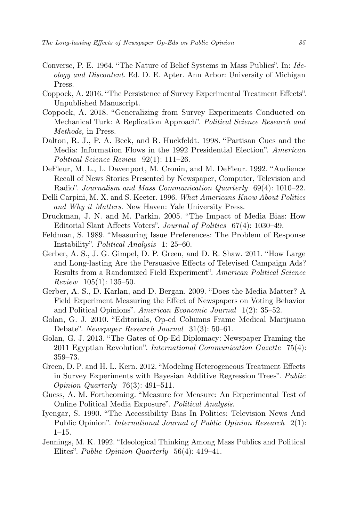- Converse, P. E. 1964. "The Nature of Belief Systems in Mass Publics". In: Ideology and Discontent. Ed. D. E. Apter. Ann Arbor: University of Michigan Press.
- Coppock, A. 2016. "The Persistence of Survey Experimental Treatment Effects". Unpublished Manuscript.
- Coppock, A. 2018. "Generalizing from Survey Experiments Conducted on Mechanical Turk: A Replication Approach". Political Science Research and Methods, in Press.
- Dalton, R. J., P. A. Beck, and R. Huckfeldt. 1998. "Partisan Cues and the Media: Information Flows in the 1992 Presidential Election". American Political Science Review 92(1): 111–26.
- DeFleur, M. L., L. Davenport, M. Cronin, and M. DeFleur. 1992. "Audience Recall of News Stories Presented by Newspaper, Computer, Television and Radio". Journalism and Mass Communication Quarterly 69(4): 1010–22.
- Delli Carpini, M. X. and S. Keeter. 1996. What Americans Know About Politics and Why it Matters. New Haven: Yale University Press.
- Druckman, J. N. and M. Parkin. 2005. "The Impact of Media Bias: How Editorial Slant Affects Voters". Journal of Politics 67(4): 1030–49.
- Feldman, S. 1989. "Measuring Issue Preferences: The Problem of Response Instability". Political Analysis 1: 25–60.
- Gerber, A. S., J. G. Gimpel, D. P. Green, and D. R. Shaw. 2011. "How Large and Long-lasting Are the Persuasive Effects of Televised Campaign Ads? Results from a Randomized Field Experiment". American Political Science Review 105(1): 135–50.
- Gerber, A. S., D. Karlan, and D. Bergan. 2009. "Does the Media Matter? A Field Experiment Measuring the Effect of Newspapers on Voting Behavior and Political Opinions". American Economic Journal 1(2): 35–52.
- Golan, G. J. 2010. "Editorials, Op-ed Columns Frame Medical Marijuana Debate". Newspaper Research Journal 31(3): 50–61.
- Golan, G. J. 2013. "The Gates of Op-Ed Diplomacy: Newspaper Framing the 2011 Egyptian Revolution". International Communication Gazette 75(4): 359–73.
- Green, D. P. and H. L. Kern. 2012. "Modeling Heterogeneous Treatment Effects in Survey Experiments with Bayesian Additive Regression Trees". Public Opinion Quarterly 76(3): 491–511.
- Guess, A. M. Forthcoming. "Measure for Measure: An Experimental Test of Online Political Media Exposure". Political Analysis.
- Iyengar, S. 1990. "The Accessibility Bias In Politics: Television News And Public Opinion". International Journal of Public Opinion Research 2(1): 1–15.
- Jennings, M. K. 1992. "Ideological Thinking Among Mass Publics and Political Elites". Public Opinion Quarterly 56(4): 419–41.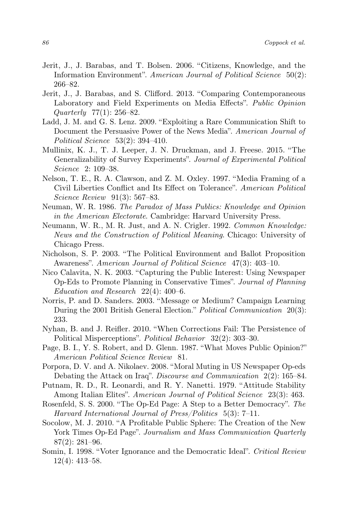- Jerit, J., J. Barabas, and T. Bolsen. 2006. "Citizens, Knowledge, and the Information Environment". American Journal of Political Science 50(2): 266–82.
- Jerit, J., J. Barabas, and S. Clifford. 2013. "Comparing Contemporaneous Laboratory and Field Experiments on Media Effects". Public Opinion Quarterly 77(1): 256–82.
- Ladd, J. M. and G. S. Lenz. 2009. "Exploiting a Rare Communication Shift to Document the Persuasive Power of the News Media". American Journal of Political Science 53(2): 394–410.
- Mullinix, K. J., T. J. Leeper, J. N. Druckman, and J. Freese. 2015. "The Generalizability of Survey Experiments". Journal of Experimental Political Science 2: 109–38.
- Nelson, T. E., R. A. Clawson, and Z. M. Oxley. 1997. "Media Framing of a Civil Liberties Conflict and Its Effect on Tolerance". American Political Science Review 91(3): 567–83.
- Neuman, W. R. 1986. The Paradox of Mass Publics: Knowledge and Opinion in the American Electorate. Cambridge: Harvard University Press.
- Neumann, W. R., M. R. Just, and A. N. Crigler. 1992. Common Knowledge: News and the Construction of Political Meaning. Chicago: University of Chicago Press.
- Nicholson, S. P. 2003. "The Political Environment and Ballot Proposition Awareness". American Journal of Political Science 47(3): 403-10.
- Nico Calavita, N. K. 2003. "Capturing the Public Interest: Using Newspaper Op-Eds to Promote Planning in Conservative Times". Journal of Planning Education and Research 22(4): 400–6.
- Norris, P. and D. Sanders. 2003. "Message or Medium? Campaign Learning During the 2001 British General Election." Political Communication 20(3): 233.
- Nyhan, B. and J. Reifler. 2010. "When Corrections Fail: The Persistence of Political Misperceptions". Political Behavior 32(2): 303–30.
- Page, B. I., Y. S. Robert, and D. Glenn. 1987. "What Moves Public Opinion?" American Political Science Review 81.
- Porpora, D. V. and A. Nikolaev. 2008. "Moral Muting in US Newspaper Op-eds Debating the Attack on Iraq". Discourse and Communication 2(2): 165–84.
- Putnam, R. D., R. Leonardi, and R. Y. Nanetti. 1979. "Attitude Stability Among Italian Elites". American Journal of Political Science 23(3): 463.
- Rosenfeld, S. S. 2000. "The Op-Ed Page: A Step to a Better Democracy". The Harvard International Journal of Press/Politics 5(3): 7–11.
- Socolow, M. J. 2010. "A Profitable Public Sphere: The Creation of the New York Times Op-Ed Page". Journalism and Mass Communication Quarterly 87(2): 281–96.
- Somin, I. 1998. "Voter Ignorance and the Democratic Ideal". Critical Review 12(4): 413–58.